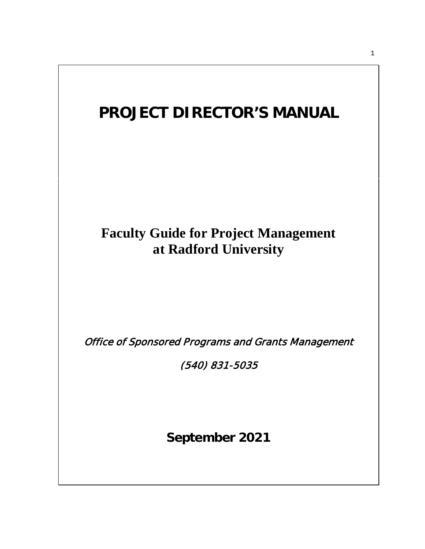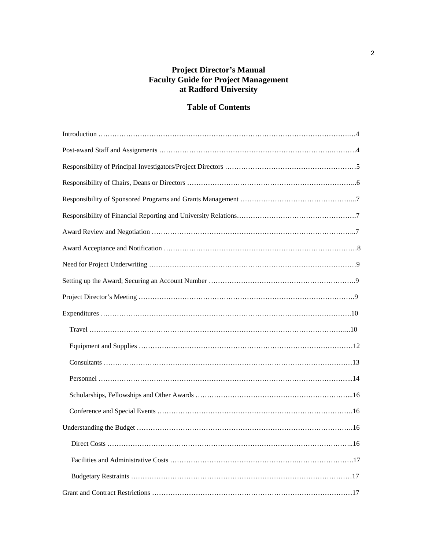## **Project Director's Manual Faculty Guide for Project Management at Radford University**

# **Table of Contents**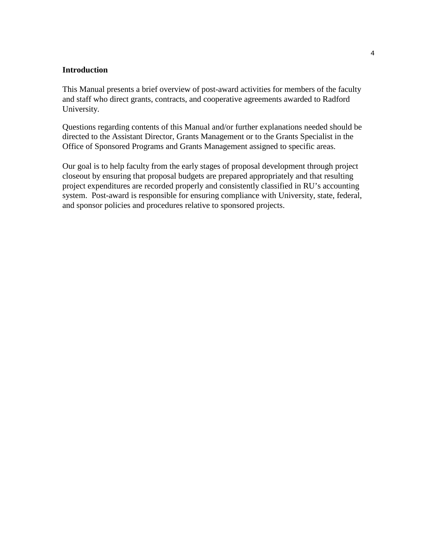## **Introduction**

This Manual presents a brief overview of post-award activities for members of the faculty and staff who direct grants, contracts, and cooperative agreements awarded to Radford University.

Questions regarding contents of this Manual and/or further explanations needed should be directed to the Assistant Director, Grants Management or to the Grants Specialist in the Office of Sponsored Programs and Grants Management assigned to specific areas.

Our goal is to help faculty from the early stages of proposal development through project closeout by ensuring that proposal budgets are prepared appropriately and that resulting project expenditures are recorded properly and consistently classified in RU's accounting system. Post-award is responsible for ensuring compliance with University, state, federal, and sponsor policies and procedures relative to sponsored projects.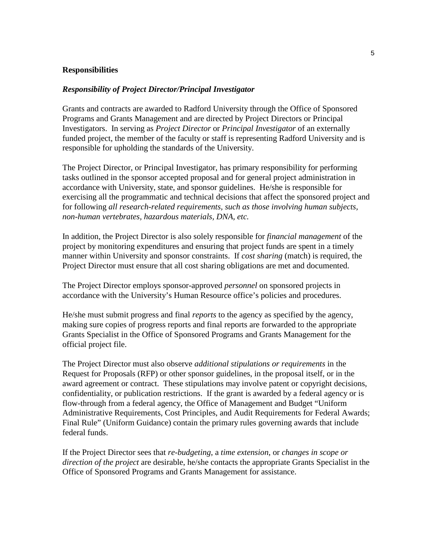#### **Responsibilities**

#### *Responsibility of Project Director/Principal Investigator*

Grants and contracts are awarded to Radford University through the Office of Sponsored Programs and Grants Management and are directed by Project Directors or Principal Investigators. In serving as *Project Director* or *Principal Investigator* of an externally funded project, the member of the faculty or staff is representing Radford University and is responsible for upholding the standards of the University.

The Project Director, or Principal Investigator, has primary responsibility for performing tasks outlined in the sponsor accepted proposal and for general project administration in accordance with University, state, and sponsor guidelines. He/she is responsible for exercising all the programmatic and technical decisions that affect the sponsored project and for following *all research-related requirements, such as those involving human subjects, non-human vertebrates, hazardous materials, DNA, etc.* 

In addition, the Project Director is also solely responsible for *financial management* of the project by monitoring expenditures and ensuring that project funds are spent in a timely manner within University and sponsor constraints. If *cost sharing* (match) is required, the Project Director must ensure that all cost sharing obligations are met and documented.

The Project Director employs sponsor-approved *personnel* on sponsored projects in accordance with the University's Human Resource office's policies and procedures.

He/she must submit progress and final *reports* to the agency as specified by the agency, making sure copies of progress reports and final reports are forwarded to the appropriate Grants Specialist in the Office of Sponsored Programs and Grants Management for the official project file.

The Project Director must also observe *additional stipulations or requirements* in the Request for Proposals (RFP) or other sponsor guidelines, in the proposal itself, or in the award agreement or contract. These stipulations may involve patent or copyright decisions, confidentiality, or publication restrictions. If the grant is awarded by a federal agency or is flow-through from a federal agency, the Office of Management and Budget "Uniform Administrative Requirements, Cost Principles, and Audit Requirements for Federal Awards; Final Rule" (Uniform Guidance) contain the primary rules governing awards that include federal funds.

If the Project Director sees that *re-budgeting*, a *time extension*, or *changes in scope or direction of the project* are desirable, he/she contacts the appropriate Grants Specialist in the Office of Sponsored Programs and Grants Management for assistance.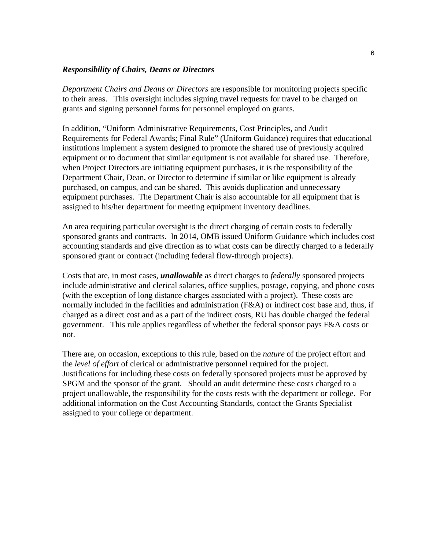#### *Responsibility of Chairs, Deans or Directors*

*Department Chairs and Deans or Directors* are responsible for monitoring projects specific to their areas. This oversight includes signing travel requests for travel to be charged on grants and signing personnel forms for personnel employed on grants.

In addition, "Uniform Administrative Requirements, Cost Principles, and Audit Requirements for Federal Awards; Final Rule" (Uniform Guidance) requires that educational institutions implement a system designed to promote the shared use of previously acquired equipment or to document that similar equipment is not available for shared use. Therefore, when Project Directors are initiating equipment purchases, it is the responsibility of the Department Chair, Dean, or Director to determine if similar or like equipment is already purchased, on campus, and can be shared. This avoids duplication and unnecessary equipment purchases. The Department Chair is also accountable for all equipment that is assigned to his/her department for meeting equipment inventory deadlines.

An area requiring particular oversight is the direct charging of certain costs to federally sponsored grants and contracts. In 2014, OMB issued Uniform Guidance which includes cost accounting standards and give direction as to what costs can be directly charged to a federally sponsored grant or contract (including federal flow-through projects).

Costs that are, in most cases, *unallowable* as direct charges to *federally* sponsored projects include administrative and clerical salaries, office supplies, postage, copying, and phone costs (with the exception of long distance charges associated with a project). These costs are normally included in the facilities and administration (F&A) or indirect cost base and, thus, if charged as a direct cost and as a part of the indirect costs, RU has double charged the federal government. This rule applies regardless of whether the federal sponsor pays F&A costs or not.

There are, on occasion, exceptions to this rule, based on the *nature* of the project effort and the *level of effort* of clerical or administrative personnel required for the project. Justifications for including these costs on federally sponsored projects must be approved by SPGM and the sponsor of the grant. Should an audit determine these costs charged to a project unallowable, the responsibility for the costs rests with the department or college. For additional information on the Cost Accounting Standards, contact the Grants Specialist assigned to your college or department.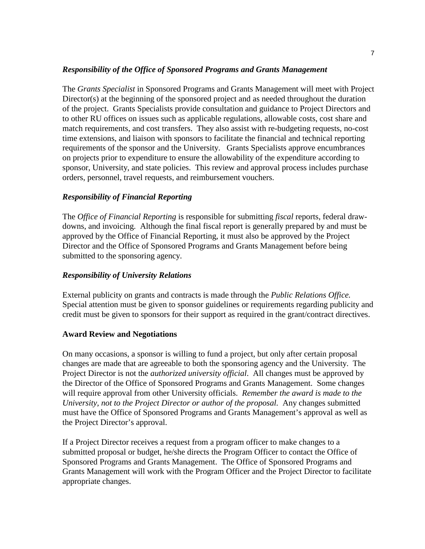## *Responsibility of the Office of Sponsored Programs and Grants Management*

The *Grants Specialist* in Sponsored Programs and Grants Management will meet with Project Director(s) at the beginning of the sponsored project and as needed throughout the duration of the project. Grants Specialists provide consultation and guidance to Project Directors and to other RU offices on issues such as applicable regulations, allowable costs, cost share and match requirements, and cost transfers. They also assist with re-budgeting requests, no-cost time extensions, and liaison with sponsors to facilitate the financial and technical reporting requirements of the sponsor and the University. Grants Specialists approve encumbrances on projects prior to expenditure to ensure the allowability of the expenditure according to sponsor, University, and state policies. This review and approval process includes purchase orders, personnel, travel requests, and reimbursement vouchers.

## *Responsibility of Financial Reporting*

The *Office of Financial Reporting* is responsible for submitting *fiscal* reports, federal drawdowns, and invoicing. Although the final fiscal report is generally prepared by and must be approved by the Office of Financial Reporting, it must also be approved by the Project Director and the Office of Sponsored Programs and Grants Management before being submitted to the sponsoring agency.

## *Responsibility of University Relations*

External publicity on grants and contracts is made through the *Public Relations Office.*  Special attention must be given to sponsor guidelines or requirements regarding publicity and credit must be given to sponsors for their support as required in the grant/contract directives.

### **Award Review and Negotiations**

On many occasions, a sponsor is willing to fund a project, but only after certain proposal changes are made that are agreeable to both the sponsoring agency and the University. The Project Director is not the *authorized university official*. All changes must be approved by the Director of the Office of Sponsored Programs and Grants Management. Some changes will require approval from other University officials. *Remember the award is made to the University, not to the Project Director or author of the proposal.* Any changes submitted must have the Office of Sponsored Programs and Grants Management's approval as well as the Project Director's approval.

If a Project Director receives a request from a program officer to make changes to a submitted proposal or budget, he/she directs the Program Officer to contact the Office of Sponsored Programs and Grants Management. The Office of Sponsored Programs and Grants Management will work with the Program Officer and the Project Director to facilitate appropriate changes.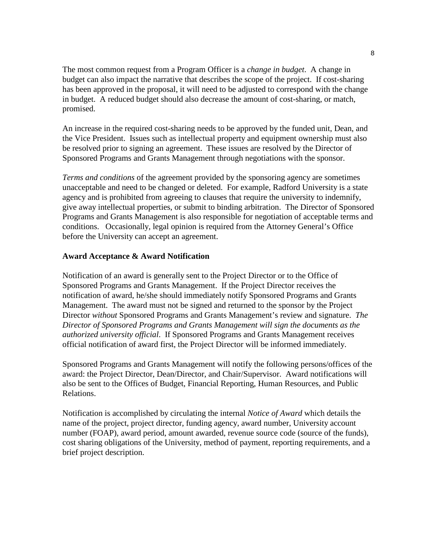The most common request from a Program Officer is a *change in budget*. A change in budget can also impact the narrative that describes the scope of the project. If cost-sharing has been approved in the proposal, it will need to be adjusted to correspond with the change in budget. A reduced budget should also decrease the amount of cost-sharing, or match, promised.

An increase in the required cost-sharing needs to be approved by the funded unit, Dean, and the Vice President. Issues such as intellectual property and equipment ownership must also be resolved prior to signing an agreement. These issues are resolved by the Director of Sponsored Programs and Grants Management through negotiations with the sponsor.

*Terms and conditions* of the agreement provided by the sponsoring agency are sometimes unacceptable and need to be changed or deleted. For example, Radford University is a state agency and is prohibited from agreeing to clauses that require the university to indemnify, give away intellectual properties, or submit to binding arbitration. The Director of Sponsored Programs and Grants Management is also responsible for negotiation of acceptable terms and conditions. Occasionally, legal opinion is required from the Attorney General's Office before the University can accept an agreement.

## **Award Acceptance & Award Notification**

Notification of an award is generally sent to the Project Director or to the Office of Sponsored Programs and Grants Management. If the Project Director receives the notification of award, he/she should immediately notify Sponsored Programs and Grants Management. The award must not be signed and returned to the sponsor by the Project Director *without* Sponsored Programs and Grants Management's review and signature. *The Director of Sponsored Programs and Grants Management will sign the documents as the authorized university official*. If Sponsored Programs and Grants Management receives official notification of award first, the Project Director will be informed immediately.

Sponsored Programs and Grants Management will notify the following persons/offices of the award: the Project Director, Dean/Director, and Chair/Supervisor. Award notifications will also be sent to the Offices of Budget, Financial Reporting, Human Resources, and Public Relations.

Notification is accomplished by circulating the internal *Notice of Award* which details the name of the project, project director, funding agency, award number, University account number (FOAP), award period, amount awarded, revenue source code (source of the funds), cost sharing obligations of the University, method of payment, reporting requirements, and a brief project description.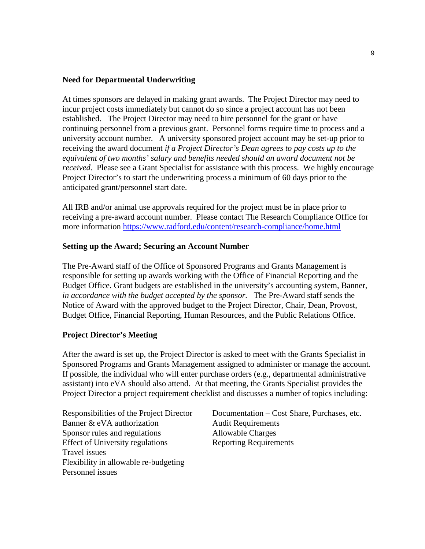### **Need for Departmental Underwriting**

At times sponsors are delayed in making grant awards. The Project Director may need to incur project costs immediately but cannot do so since a project account has not been established. The Project Director may need to hire personnel for the grant or have continuing personnel from a previous grant. Personnel forms require time to process and a university account number. A university sponsored project account may be set-up prior to receiving the award document *if a Project Director's Dean agrees to pay costs up to the equivalent of two months' salary and benefits needed should an award document not be received.* Please see a Grant Specialist for assistance with this process. We highly encourage Project Director's to start the underwriting process a minimum of 60 days prior to the anticipated grant/personnel start date.

All IRB and/or animal use approvals required for the project must be in place prior to receiving a pre-award account number. Please contact The Research Compliance Office for more information<https://www.radford.edu/content/research-compliance/home.html>

### **Setting up the Award; Securing an Account Number**

The Pre-Award staff of the Office of Sponsored Programs and Grants Management is responsible for setting up awards working with the Office of Financial Reporting and the Budget Office. Grant budgets are established in the university's accounting system, Banner, *in accordance with the budget accepted by the sponsor.* The Pre-Award staff sends the Notice of Award with the approved budget to the Project Director, Chair, Dean, Provost, Budget Office, Financial Reporting, Human Resources, and the Public Relations Office.

#### **Project Director's Meeting**

After the award is set up, the Project Director is asked to meet with the Grants Specialist in Sponsored Programs and Grants Management assigned to administer or manage the account. If possible, the individual who will enter purchase orders (e.g., departmental administrative assistant) into eVA should also attend. At that meeting, the Grants Specialist provides the Project Director a project requirement checklist and discusses a number of topics including:

Banner & eVA authorization Audit Requirements Sponsor rules and regulations Allowable Charges Effect of University regulations Reporting Requirements Travel issues Flexibility in allowable re-budgeting Personnel issues

Responsibilities of the Project Director Documentation – Cost Share, Purchases, etc.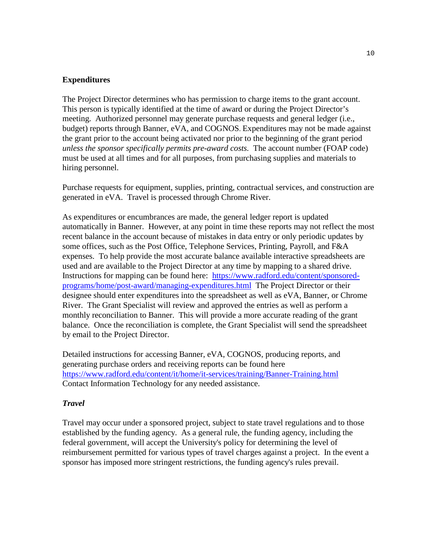### **Expenditures**

The Project Director determines who has permission to charge items to the grant account. This person is typically identified at the time of award or during the Project Director's meeting. Authorized personnel may generate purchase requests and general ledger (i.e., budget) reports through Banner, eVA, and COGNOS. Expenditures may not be made against the grant prior to the account being activated nor prior to the beginning of the grant period *unless the sponsor specifically permits pre-award costs.* The account number (FOAP code) must be used at all times and for all purposes, from purchasing supplies and materials to hiring personnel.

Purchase requests for equipment, supplies, printing, contractual services, and construction are generated in eVA. Travel is processed through Chrome River.

As expenditures or encumbrances are made, the general ledger report is updated automatically in Banner. However, at any point in time these reports may not reflect the most recent balance in the account because of mistakes in data entry or only periodic updates by some offices, such as the Post Office, Telephone Services, Printing, Payroll, and F&A expenses. To help provide the most accurate balance available interactive spreadsheets are used and are available to the Project Director at any time by mapping to a shared drive. Instructions for mapping can be found here: [https://www.radford.edu/content/sponsored](https://www.radford.edu/content/sponsored-programs/home/post-award/managing-expenditures.html)[programs/home/post-award/managing-expenditures.html](https://www.radford.edu/content/sponsored-programs/home/post-award/managing-expenditures.html) The Project Director or their designee should enter expenditures into the spreadsheet as well as eVA, Banner, or Chrome River. The Grant Specialist will review and approved the entries as well as perform a monthly reconciliation to Banner. This will provide a more accurate reading of the grant balance. Once the reconciliation is complete, the Grant Specialist will send the spreadsheet by email to the Project Director.

Detailed instructions for accessing Banner, eVA, COGNOS, producing reports, and generating purchase orders and receiving reports can be found here <https://www.radford.edu/content/it/home/it-services/training/Banner-Training.html> Contact Information Technology for any needed assistance.

#### *Travel*

Travel may occur under a sponsored project, subject to state travel regulations and to those established by the funding agency. As a general rule, the funding agency, including the federal government, will accept the University's policy for determining the level of reimbursement permitted for various types of travel charges against a project. In the event a sponsor has imposed more stringent restrictions, the funding agency's rules prevail.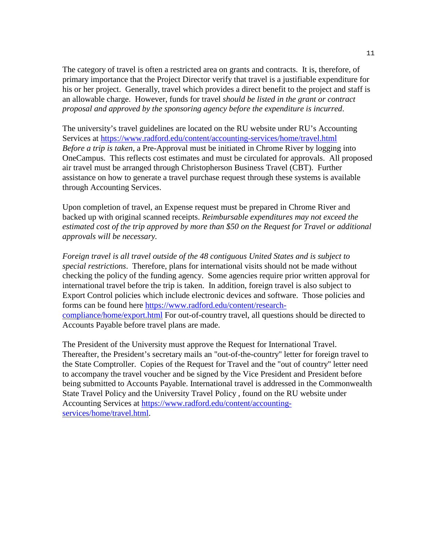The category of travel is often a restricted area on grants and contracts. It is, therefore, of primary importance that the Project Director verify that travel is a justifiable expenditure for his or her project. Generally, travel which provides a direct benefit to the project and staff is an allowable charge. However, funds for travel *should be listed in the grant or contract proposal and approved by the sponsoring agency before the expenditure is incurred*.

The university's travel guidelines are located on the RU website under RU's Accounting Services at <https://www.radford.edu/content/accounting-services/home/travel.html> *Before a trip is taken*, a Pre-Approval must be initiated in Chrome River by logging into OneCampus. This reflects cost estimates and must be circulated for approvals. All proposed air travel must be arranged through Christopherson Business Travel (CBT). Further assistance on how to generate a travel purchase request through these systems is available through Accounting Services.

Upon completion of travel, an Expense request must be prepared in Chrome River and backed up with original scanned receipts. *Reimbursable expenditures may not exceed the estimated cost of the trip approved by more than \$50 on the Request for Travel or additional approvals will be necessary.*

*Foreign travel is all travel outside of the 48 contiguous United States and is subject to special restrictions*. Therefore, plans for international visits should not be made without checking the policy of the funding agency. Some agencies require prior written approval for international travel before the trip is taken. In addition, foreign travel is also subject to Export Control policies which include electronic devices and software. Those policies and forms can be found here [https://www.radford.edu/content/research](https://www.radford.edu/content/research-compliance/home/export.html)[compliance/home/export.html](https://www.radford.edu/content/research-compliance/home/export.html) For out-of-country travel, all questions should be directed to Accounts Payable before travel plans are made.

The President of the University must approve the Request for International Travel. Thereafter, the President's secretary mails an "out-of-the-country" letter for foreign travel to the State Comptroller. Copies of the Request for Travel and the "out of country" letter need to accompany the travel voucher and be signed by the Vice President and President before being submitted to Accounts Payable. International travel is addressed in the Commonwealth State Travel Policy and the University Travel Policy , found on the RU website under Accounting Services at [https://www.radford.edu/content/accounting](https://www.radford.edu/content/accounting-services/home/travel.html)[services/home/travel.html.](https://www.radford.edu/content/accounting-services/home/travel.html)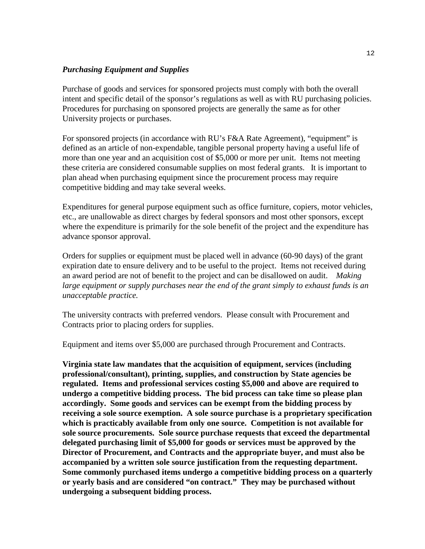## *Purchasing Equipment and Supplies*

Purchase of goods and services for sponsored projects must comply with both the overall intent and specific detail of the sponsor's regulations as well as with RU purchasing policies. Procedures for purchasing on sponsored projects are generally the same as for other University projects or purchases.

For sponsored projects (in accordance with RU's F&A Rate Agreement), "equipment" is defined as an article of non-expendable, tangible personal property having a useful life of more than one year and an acquisition cost of \$5,000 or more per unit. Items not meeting these criteria are considered consumable supplies on most federal grants. It is important to plan ahead when purchasing equipment since the procurement process may require competitive bidding and may take several weeks.

Expenditures for general purpose equipment such as office furniture, copiers, motor vehicles, etc., are unallowable as direct charges by federal sponsors and most other sponsors, except where the expenditure is primarily for the sole benefit of the project and the expenditure has advance sponsor approval.

Orders for supplies or equipment must be placed well in advance (60-90 days) of the grant expiration date to ensure delivery and to be useful to the project. Items not received during an award period are not of benefit to the project and can be disallowed on audit. *Making large equipment or supply purchases near the end of the grant simply to exhaust funds is an unacceptable practice.*

The university contracts with preferred vendors. Please consult with Procurement and Contracts prior to placing orders for supplies.

Equipment and items over \$5,000 are purchased through Procurement and Contracts.

**Virginia state law mandates that the acquisition of equipment, services (including professional/consultant), printing, supplies, and construction by State agencies be regulated. Items and professional services costing \$5,000 and above are required to undergo a competitive bidding process. The bid process can take time so please plan accordingly. Some goods and services can be exempt from the bidding process by receiving a sole source exemption. A sole source purchase is a proprietary specification which is practicably available from only one source. Competition is not available for sole source procurements. Sole source purchase requests that exceed the departmental delegated purchasing limit of \$5,000 for goods or services must be approved by the Director of Procurement, and Contracts and the appropriate buyer, and must also be accompanied by a written sole source justification from the requesting department. Some commonly purchased items undergo a competitive bidding process on a quarterly or yearly basis and are considered "on contract." They may be purchased without undergoing a subsequent bidding process.**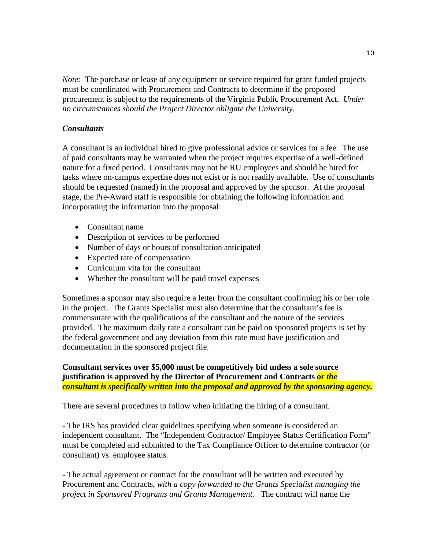*Note:* The purchase or lease of any equipment or service required for grant funded projects must be coordinated with Procurement and Contracts to determine if the proposed procurement is subject to the requirements of the Virginia Public Procurement Act. *Under no circumstances should the Project Director obligate the University.*

## *Consultants*

A consultant is an individual hired to give professional advice or services for a fee. The use of paid consultants may be warranted when the project requires expertise of a well-defined nature for a fixed period. Consultants may not be RU employees and should be hired for tasks where on-campus expertise does not exist or is not readily available. Use of consultants should be requested (named) in the proposal and approved by the sponsor. At the proposal stage, the Pre-Award staff is responsible for obtaining the following information and incorporating the information into the proposal:

- Consultant name
- Description of services to be performed
- Number of days or hours of consultation anticipated
- Expected rate of compensation
- Curriculum vita for the consultant
- Whether the consultant will be paid travel expenses

Sometimes a sponsor may also require a letter from the consultant confirming his or her role in the project. The Grants Specialist must also determine that the consultant's fee is commensurate with the qualifications of the consultant and the nature of the services provided. The maximum daily rate a consultant can be paid on sponsored projects is set by the federal government and any deviation from this rate must have justification and documentation in the sponsored project file.

**Consultant services over \$5,000 must be competitively bid unless a sole source justification is approved by the Director of Procurement and Contracts** *or the consultant is specifically written into the proposal and approved by the sponsoring agency.*

There are several procedures to follow when initiating the hiring of a consultant.

- The IRS has provided clear guidelines specifying when someone is considered an independent consultant. The "Independent Contractor/ Employee Status Certification Form" must be completed and submitted to the Tax Compliance Officer to determine contractor (or consultant) vs. employee status.

- The actual agreement or contract for the consultant will be written and executed by Procurement and Contracts, *with a copy forwarded to the Grants Specialist managing the project in Sponsored Programs and Grants Management.* The contract will name the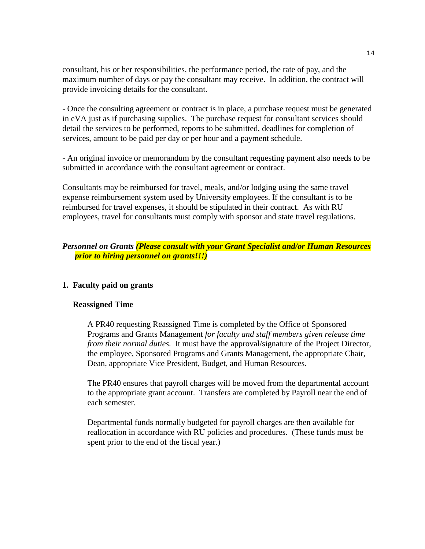consultant, his or her responsibilities, the performance period, the rate of pay, and the maximum number of days or pay the consultant may receive. In addition, the contract will provide invoicing details for the consultant.

- Once the consulting agreement or contract is in place, a purchase request must be generated in eVA just as if purchasing supplies. The purchase request for consultant services should detail the services to be performed, reports to be submitted, deadlines for completion of services, amount to be paid per day or per hour and a payment schedule.

- An original invoice or memorandum by the consultant requesting payment also needs to be submitted in accordance with the consultant agreement or contract.

Consultants may be reimbursed for travel, meals, and/or lodging using the same travel expense reimbursement system used by University employees. If the consultant is to be reimbursed for travel expenses, it should be stipulated in their contract. As with RU employees, travel for consultants must comply with sponsor and state travel regulations.

## *Personnel on Grants (Please consult with your Grant Specialist and/or Human Resources prior to hiring personnel on grants!!!)*

### **1. Faculty paid on grants**

#### **Reassigned Time**

A PR40 requesting Reassigned Time is completed by the Office of Sponsored Programs and Grants Management *for faculty and staff members given release time from their normal duties.* It must have the approval/signature of the Project Director, the employee, Sponsored Programs and Grants Management, the appropriate Chair, Dean, appropriate Vice President, Budget, and Human Resources.

The PR40 ensures that payroll charges will be moved from the departmental account to the appropriate grant account. Transfers are completed by Payroll near the end of each semester.

Departmental funds normally budgeted for payroll charges are then available for reallocation in accordance with RU policies and procedures. (These funds must be spent prior to the end of the fiscal year.)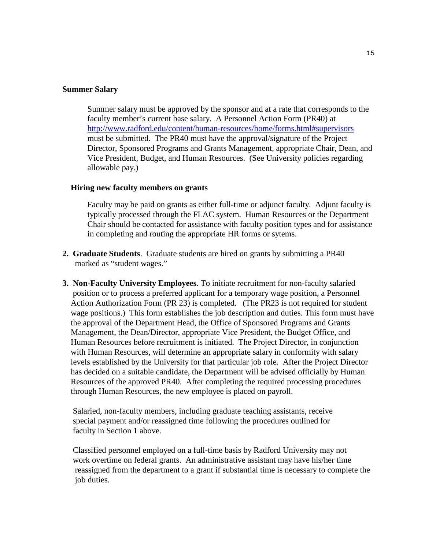#### **Summer Salary**

Summer salary must be approved by the sponsor and at a rate that corresponds to the faculty member's current base salary. A Personnel Action Form (PR40) at <http://www.radford.edu/content/human-resources/home/forms.html#supervisors> must be submitted. The PR40 must have the approval/signature of the Project Director, Sponsored Programs and Grants Management, appropriate Chair, Dean, and Vice President, Budget, and Human Resources. (See University policies regarding allowable pay.)

#### **Hiring new faculty members on grants**

 Faculty may be paid on grants as either full-time or adjunct faculty. Adjunt faculty is typically processed through the FLAC system. Human Resources or the Department Chair should be contacted for assistance with faculty position types and for assistance in completing and routing the appropriate HR forms or sytems.

- **2. Graduate Students**. Graduate students are hired on grants by submitting a PR40 marked as "student wages."
- **3. Non-Faculty University Employees**. To initiate recruitment for non-faculty salaried position or to process a preferred applicant for a temporary wage position, a Personnel Action Authorization Form (PR 23) is completed. (The PR23 is not required for student wage positions.) This form establishes the job description and duties. This form must have the approval of the Department Head, the Office of Sponsored Programs and Grants Management, the Dean/Director, appropriate Vice President, the Budget Office, and Human Resources before recruitment is initiated. The Project Director, in conjunction with Human Resources, will determine an appropriate salary in conformity with salary levels established by the University for that particular job role. After the Project Director has decided on a suitable candidate, the Department will be advised officially by Human Resources of the approved PR40. After completing the required processing procedures through Human Resources, the new employee is placed on payroll.

 Salaried, non-faculty members, including graduate teaching assistants, receive special payment and/or reassigned time following the procedures outlined for faculty in Section 1 above.

 Classified personnel employed on a full-time basis by Radford University may not work overtime on federal grants. An administrative assistant may have his/her time reassigned from the department to a grant if substantial time is necessary to complete the job duties.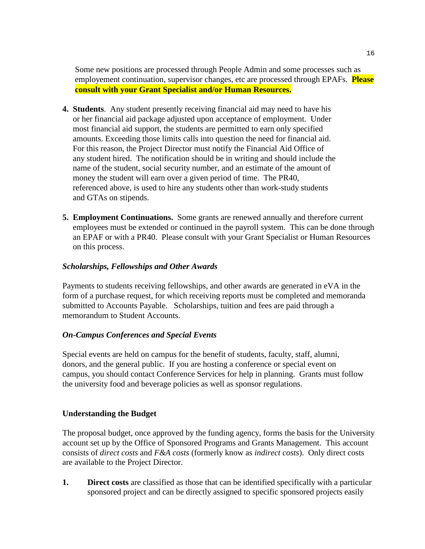Some new positions are processed through People Admin and some processes such as employement continuation, supervisor changes, etc are processed through EPAFs. **Please consult with your Grant Specialist and/or Human Resources.**

- **4. Students**. Any student presently receiving financial aid may need to have his or her financial aid package adjusted upon acceptance of employment. Under most financial aid support, the students are permitted to earn only specified amounts. Exceeding those limits calls into question the need for financial aid. For this reason, the Project Director must notify the Financial Aid Office of any student hired. The notification should be in writing and should include the name of the student, social security number, and an estimate of the amount of money the student will earn over a given period of time. The PR40, referenced above, is used to hire any students other than work-study students and GTAs on stipends.
- **5. Employment Continuations.** Some grants are renewed annually and therefore current employees must be extended or continued in the payroll system. This can be done through an EPAF or with a PR40. Please consult with your Grant Specialist or Human Resources on this process.

## *Scholarships, Fellowships and Other Awards*

Payments to students receiving fellowships, and other awards are generated in eVA in the form of a purchase request, for which receiving reports must be completed and memoranda submitted to Accounts Payable. Scholarships, tuition and fees are paid through a memorandum to Student Accounts.

### *On-Campus Conferences and Special Events*

Special events are held on campus for the benefit of students, faculty, staff, alumni, donors, and the general public. If you are hosting a conference or special event on campus, you should contact Conference Services for help in planning. Grants must follow the university food and beverage policies as well as sponsor regulations.

### **Understanding the Budget**

The proposal budget, once approved by the funding agency, forms the basis for the University account set up by the Office of Sponsored Programs and Grants Management. This account consists of *direct costs* and *F&A costs* (formerly know as *indirect costs*). Only direct costs are available to the Project Director.

**1. Direct costs** are classified as those that can be identified specifically with a particular sponsored project and can be directly assigned to specific sponsored projects easily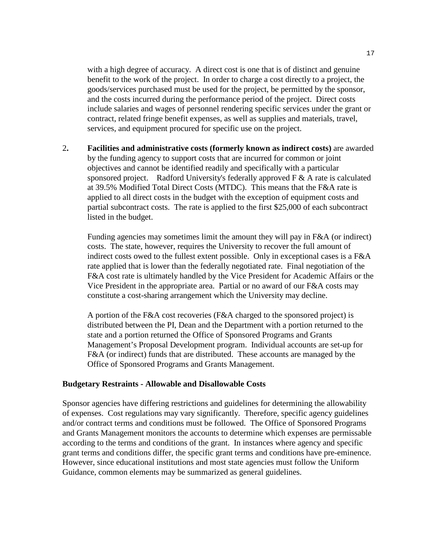with a high degree of accuracy. A direct cost is one that is of distinct and genuine benefit to the work of the project. In order to charge a cost directly to a project, the goods/services purchased must be used for the project, be permitted by the sponsor, and the costs incurred during the performance period of the project. Direct costs include salaries and wages of personnel rendering specific services under the grant or contract, related fringe benefit expenses, as well as supplies and materials, travel, services, and equipment procured for specific use on the project.

2**. Facilities and administrative costs (formerly known as indirect costs)** are awarded by the funding agency to support costs that are incurred for common or joint objectives and cannot be identified readily and specifically with a particular sponsored project. Radford University's federally approved  $F \& A$  rate is calculated at 39.5% Modified Total Direct Costs (MTDC). This means that the F&A rate is applied to all direct costs in the budget with the exception of equipment costs and partial subcontract costs. The rate is applied to the first \$25,000 of each subcontract listed in the budget.

Funding agencies may sometimes limit the amount they will pay in F&A (or indirect) costs. The state, however, requires the University to recover the full amount of indirect costs owed to the fullest extent possible. Only in exceptional cases is a F&A rate applied that is lower than the federally negotiated rate. Final negotiation of the F&A cost rate is ultimately handled by the Vice President for Academic Affairs or the Vice President in the appropriate area. Partial or no award of our F&A costs may constitute a cost-sharing arrangement which the University may decline.

A portion of the F&A cost recoveries (F&A charged to the sponsored project) is distributed between the PI, Dean and the Department with a portion returned to the state and a portion returned the Office of Sponsored Programs and Grants Management's Proposal Development program. Individual accounts are set-up for F&A (or indirect) funds that are distributed. These accounts are managed by the Office of Sponsored Programs and Grants Management.

#### **Budgetary Restraints - Allowable and Disallowable Costs**

Sponsor agencies have differing restrictions and guidelines for determining the allowability of expenses. Cost regulations may vary significantly. Therefore, specific agency guidelines and/or contract terms and conditions must be followed. The Office of Sponsored Programs and Grants Management monitors the accounts to determine which expenses are permissable according to the terms and conditions of the grant. In instances where agency and specific grant terms and conditions differ, the specific grant terms and conditions have pre-eminence. However, since educational institutions and most state agencies must follow the Uniform Guidance, common elements may be summarized as general guidelines.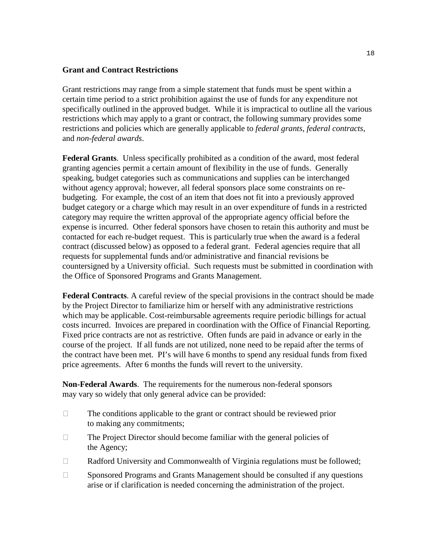### **Grant and Contract Restrictions**

Grant restrictions may range from a simple statement that funds must be spent within a certain time period to a strict prohibition against the use of funds for any expenditure not specifically outlined in the approved budget. While it is impractical to outline all the various restrictions which may apply to a grant or contract, the following summary provides some restrictions and policies which are generally applicable to *federal grants*, *federal contracts*, and *non-federal awards*.

**Federal Grants**. Unless specifically prohibited as a condition of the award, most federal granting agencies permit a certain amount of flexibility in the use of funds. Generally speaking, budget categories such as communications and supplies can be interchanged without agency approval; however, all federal sponsors place some constraints on rebudgeting. For example, the cost of an item that does not fit into a previously approved budget category or a charge which may result in an over expenditure of funds in a restricted category may require the written approval of the appropriate agency official before the expense is incurred. Other federal sponsors have chosen to retain this authority and must be contacted for each re-budget request. This is particularly true when the award is a federal contract (discussed below) as opposed to a federal grant. Federal agencies require that all requests for supplemental funds and/or administrative and financial revisions be countersigned by a University official. Such requests must be submitted in coordination with the Office of Sponsored Programs and Grants Management.

**Federal Contracts**. A careful review of the special provisions in the contract should be made by the Project Director to familiarize him or herself with any administrative restrictions which may be applicable. Cost-reimbursable agreements require periodic billings for actual costs incurred. Invoices are prepared in coordination with the Office of Financial Reporting. Fixed price contracts are not as restrictive. Often funds are paid in advance or early in the course of the project. If all funds are not utilized, none need to be repaid after the terms of the contract have been met. PI's will have 6 months to spend any residual funds from fixed price agreements. After 6 months the funds will revert to the university.

**Non-Federal Awards**. The requirements for the numerous non-federal sponsors may vary so widely that only general advice can be provided:

- $\Box$  The conditions applicable to the grant or contract should be reviewed prior to making any commitments;
- $\Box$  The Project Director should become familiar with the general policies of the Agency;
- $\Box$  Radford University and Commonwealth of Virginia regulations must be followed;
- $\Box$  Sponsored Programs and Grants Management should be consulted if any questions arise or if clarification is needed concerning the administration of the project.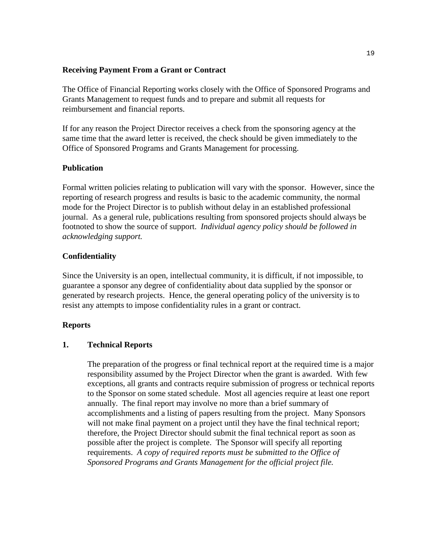### **Receiving Payment From a Grant or Contract**

The Office of Financial Reporting works closely with the Office of Sponsored Programs and Grants Management to request funds and to prepare and submit all requests for reimbursement and financial reports.

If for any reason the Project Director receives a check from the sponsoring agency at the same time that the award letter is received, the check should be given immediately to the Office of Sponsored Programs and Grants Management for processing.

## **Publication**

Formal written policies relating to publication will vary with the sponsor. However, since the reporting of research progress and results is basic to the academic community, the normal mode for the Project Director is to publish without delay in an established professional journal. As a general rule, publications resulting from sponsored projects should always be footnoted to show the source of support. *Individual agency policy should be followed in acknowledging support.*

## **Confidentiality**

Since the University is an open, intellectual community, it is difficult, if not impossible, to guarantee a sponsor any degree of confidentiality about data supplied by the sponsor or generated by research projects. Hence, the general operating policy of the university is to resist any attempts to impose confidentiality rules in a grant or contract.

### **Reports**

### **1. Technical Reports**

The preparation of the progress or final technical report at the required time is a major responsibility assumed by the Project Director when the grant is awarded. With few exceptions, all grants and contracts require submission of progress or technical reports to the Sponsor on some stated schedule. Most all agencies require at least one report annually. The final report may involve no more than a brief summary of accomplishments and a listing of papers resulting from the project. Many Sponsors will not make final payment on a project until they have the final technical report; therefore, the Project Director should submit the final technical report as soon as possible after the project is complete. The Sponsor will specify all reporting requirements. *A copy of required reports must be submitted to the Office of Sponsored Programs and Grants Management for the official project file.*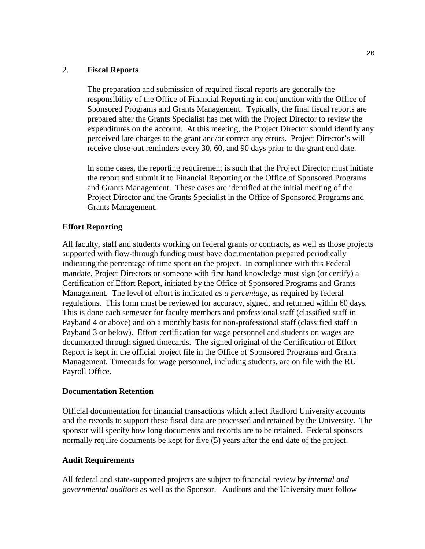## 2. **Fiscal Reports**

The preparation and submission of required fiscal reports are generally the responsibility of the Office of Financial Reporting in conjunction with the Office of Sponsored Programs and Grants Management. Typically, the final fiscal reports are prepared after the Grants Specialist has met with the Project Director to review the expenditures on the account. At this meeting, the Project Director should identify any perceived late charges to the grant and/or correct any errors. Project Director's will receive close-out reminders every 30, 60, and 90 days prior to the grant end date.

In some cases, the reporting requirement is such that the Project Director must initiate the report and submit it to Financial Reporting or the Office of Sponsored Programs and Grants Management. These cases are identified at the initial meeting of the Project Director and the Grants Specialist in the Office of Sponsored Programs and Grants Management.

## **Effort Reporting**

All faculty, staff and students working on federal grants or contracts, as well as those projects supported with flow-through funding must have documentation prepared periodically indicating the percentage of time spent on the project. In compliance with this Federal mandate, Project Directors or someone with first hand knowledge must sign (or certify) a Certification of Effort Report, initiated by the Office of Sponsored Programs and Grants Management. The level of effort is indicated *as a percentage*, as required by federal regulations. This form must be reviewed for accuracy, signed, and returned within 60 days. This is done each semester for faculty members and professional staff (classified staff in Payband 4 or above) and on a monthly basis for non-professional staff (classified staff in Payband 3 or below). Effort certification for wage personnel and students on wages are documented through signed timecards. The signed original of the Certification of Effort Report is kept in the official project file in the Office of Sponsored Programs and Grants Management. Timecards for wage personnel, including students, are on file with the RU Payroll Office.

### **Documentation Retention**

Official documentation for financial transactions which affect Radford University accounts and the records to support these fiscal data are processed and retained by the University. The sponsor will specify how long documents and records are to be retained. Federal sponsors normally require documents be kept for five (5) years after the end date of the project.

### **Audit Requirements**

All federal and state-supported projects are subject to financial review by *internal and governmental auditors* as well as the Sponsor. Auditors and the University must follow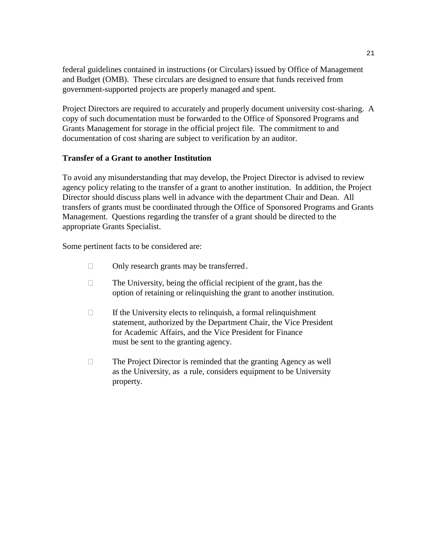federal guidelines contained in instructions (or Circulars) issued by Office of Management and Budget (OMB). These circulars are designed to ensure that funds received from government-supported projects are properly managed and spent.

Project Directors are required to accurately and properly document university cost-sharing. A copy of such documentation must be forwarded to the Office of Sponsored Programs and Grants Management for storage in the official project file. The commitment to and documentation of cost sharing are subject to verification by an auditor.

## **Transfer of a Grant to another Institution**

To avoid any misunderstanding that may develop, the Project Director is advised to review agency policy relating to the transfer of a grant to another institution. In addition, the Project Director should discuss plans well in advance with the department Chair and Dean. All transfers of grants must be coordinated through the Office of Sponsored Programs and Grants Management. Questions regarding the transfer of a grant should be directed to the appropriate Grants Specialist.

Some pertinent facts to be considered are:

- $\Box$  Only research grants may be transferred.
- $\Box$  The University, being the official recipient of the grant, has the option of retaining or relinquishing the grant to another institution.
- $\Box$  If the University elects to relinquish, a formal relinquishment statement, authorized by the Department Chair, the Vice President for Academic Affairs, and the Vice President for Finance must be sent to the granting agency.
- $\Box$  The Project Director is reminded that the granting Agency as well as the University, as a rule, considers equipment to be University property.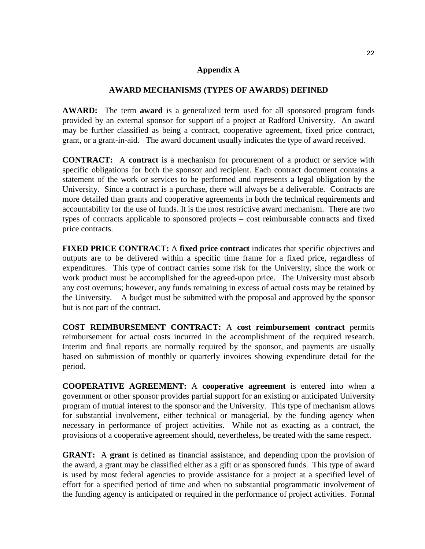#### **Appendix A**

#### **AWARD MECHANISMS (TYPES OF AWARDS) DEFINED**

**AWARD:** The term **award** is a generalized term used for all sponsored program funds provided by an external sponsor for support of a project at Radford University. An award may be further classified as being a contract, cooperative agreement, fixed price contract, grant, or a grant-in-aid. The award document usually indicates the type of award received.

**CONTRACT:** A **contract** is a mechanism for procurement of a product or service with specific obligations for both the sponsor and recipient. Each contract document contains a statement of the work or services to be performed and represents a legal obligation by the University. Since a contract is a purchase, there will always be a deliverable. Contracts are more detailed than grants and cooperative agreements in both the technical requirements and accountability for the use of funds. It is the most restrictive award mechanism. There are two types of contracts applicable to sponsored projects – cost reimbursable contracts and fixed price contracts.

**FIXED PRICE CONTRACT:** A **fixed price contract** indicates that specific objectives and outputs are to be delivered within a specific time frame for a fixed price, regardless of expenditures. This type of contract carries some risk for the University, since the work or work product must be accomplished for the agreed-upon price. The University must absorb any cost overruns; however, any funds remaining in excess of actual costs may be retained by the University. A budget must be submitted with the proposal and approved by the sponsor but is not part of the contract.

**COST REIMBURSEMENT CONTRACT:** A **cost reimbursement contract** permits reimbursement for actual costs incurred in the accomplishment of the required research. Interim and final reports are normally required by the sponsor, and payments are usually based on submission of monthly or quarterly invoices showing expenditure detail for the period.

**COOPERATIVE AGREEMENT:** A **cooperative agreement** is entered into when a government or other sponsor provides partial support for an existing or anticipated University program of mutual interest to the sponsor and the University. This type of mechanism allows for substantial involvement, either technical or managerial, by the funding agency when necessary in performance of project activities. While not as exacting as a contract, the provisions of a cooperative agreement should, nevertheless, be treated with the same respect.

**GRANT:** A **grant** is defined as financial assistance, and depending upon the provision of the award, a grant may be classified either as a gift or as sponsored funds. This type of award is used by most federal agencies to provide assistance for a project at a specified level of effort for a specified period of time and when no substantial programmatic involvement of the funding agency is anticipated or required in the performance of project activities. Formal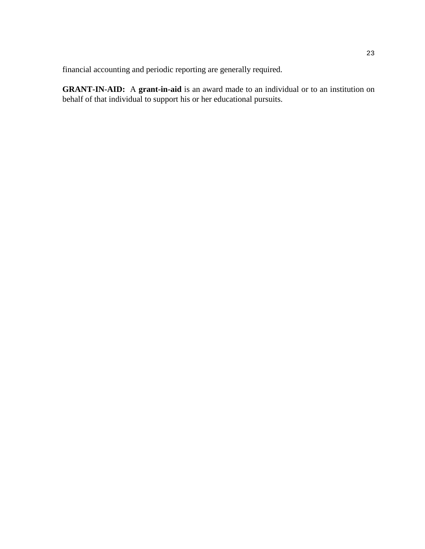financial accounting and periodic reporting are generally required.

**GRANT-IN-AID:** A **grant-in-aid** is an award made to an individual or to an institution on behalf of that individual to support his or her educational pursuits.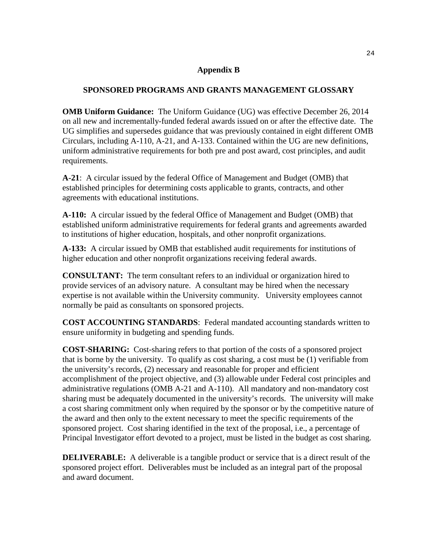### **Appendix B**

## **SPONSORED PROGRAMS AND GRANTS MANAGEMENT GLOSSARY**

**OMB Uniform Guidance:** The Uniform Guidance (UG) was effective December 26, 2014 on all new and incrementally-funded federal awards issued on or after the effective date. The UG simplifies and supersedes guidance that was previously contained in eight different OMB Circulars, including A-110, A-21, and A-133. Contained within the UG are new definitions, uniform administrative requirements for both pre and post award, cost principles, and audit requirements.

**A-21**: A circular issued by the federal Office of Management and Budget (OMB) that established principles for determining costs applicable to grants, contracts, and other agreements with educational institutions.

**A-110:** A circular issued by the federal Office of Management and Budget (OMB) that established uniform administrative requirements for federal grants and agreements awarded to institutions of higher education, hospitals, and other nonprofit organizations.

**A-133:** A circular issued by OMB that established audit requirements for institutions of higher education and other nonprofit organizations receiving federal awards.

**CONSULTANT:** The term consultant refers to an individual or organization hired to provide services of an advisory nature. A consultant may be hired when the necessary expertise is not available within the University community. University employees cannot normally be paid as consultants on sponsored projects.

**COST ACCOUNTING STANDARDS**: Federal mandated accounting standards written to ensure uniformity in budgeting and spending funds.

**COST-SHARING:** Cost-sharing refers to that portion of the costs of a sponsored project that is borne by the university. To qualify as cost sharing, a cost must be (1) verifiable from the university's records, (2) necessary and reasonable for proper and efficient accomplishment of the project objective, and (3) allowable under Federal cost principles and administrative regulations (OMB A-21 and A-110). All mandatory and non-mandatory cost sharing must be adequately documented in the university's records. The university will make a cost sharing commitment only when required by the sponsor or by the competitive nature of the award and then only to the extent necessary to meet the specific requirements of the sponsored project. Cost sharing identified in the text of the proposal, i.e., a percentage of Principal Investigator effort devoted to a project, must be listed in the budget as cost sharing.

**DELIVERABLE:** A deliverable is a tangible product or service that is a direct result of the sponsored project effort. Deliverables must be included as an integral part of the proposal and award document.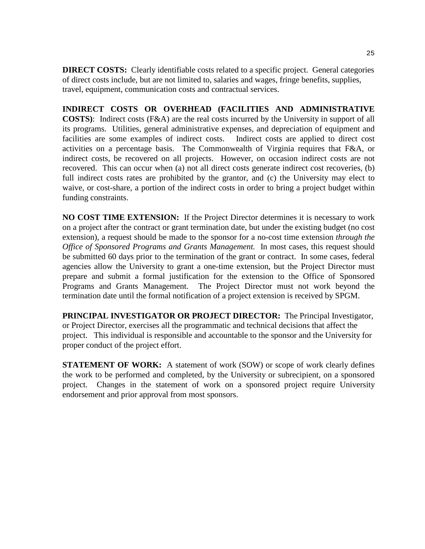**DIRECT COSTS:** Clearly identifiable costs related to a specific project. General categories of direct costs include, but are not limited to, salaries and wages, fringe benefits, supplies, travel, equipment, communication costs and contractual services.

**INDIRECT COSTS OR OVERHEAD (FACILITIES AND ADMINISTRATIVE COSTS)**: Indirect costs (F&A) are the real costs incurred by the University in support of all its programs. Utilities, general administrative expenses, and depreciation of equipment and facilities are some examples of indirect costs. Indirect costs are applied to direct cost activities on a percentage basis. The Commonwealth of Virginia requires that F&A, or indirect costs, be recovered on all projects. However, on occasion indirect costs are not recovered. This can occur when (a) not all direct costs generate indirect cost recoveries, (b) full indirect costs rates are prohibited by the grantor, and (c) the University may elect to waive, or cost-share, a portion of the indirect costs in order to bring a project budget within funding constraints.

**NO COST TIME EXTENSION:** If the Project Director determines it is necessary to work on a project after the contract or grant termination date, but under the existing budget (no cost extension), a request should be made to the sponsor for a no-cost time extension *through the Office of Sponsored Programs and Grants Management.* In most cases, this request should be submitted 60 days prior to the termination of the grant or contract. In some cases, federal agencies allow the University to grant a one-time extension, but the Project Director must prepare and submit a formal justification for the extension to the Office of Sponsored Programs and Grants Management. The Project Director must not work beyond the termination date until the formal notification of a project extension is received by SPGM.

**PRINCIPAL INVESTIGATOR OR PROJECT DIRECTOR:** The Principal Investigator, or Project Director, exercises all the programmatic and technical decisions that affect the project. This individual is responsible and accountable to the sponsor and the University for proper conduct of the project effort.

**STATEMENT OF WORK:** A statement of work (SOW) or scope of work clearly defines the work to be performed and completed, by the University or subrecipient, on a sponsored project. Changes in the statement of work on a sponsored project require University endorsement and prior approval from most sponsors.